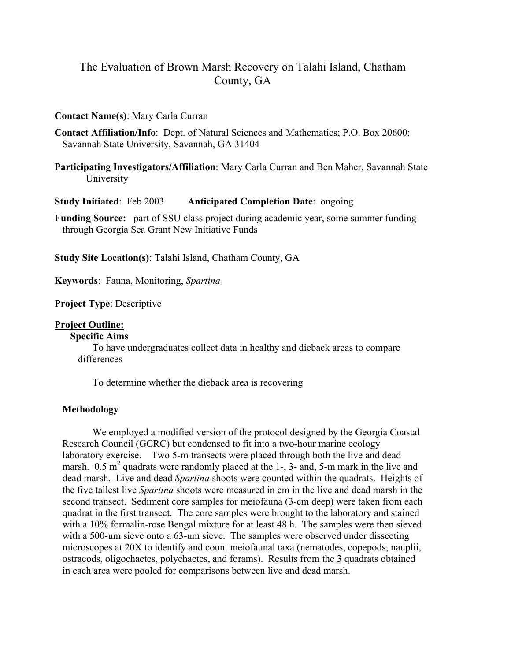# The Evaluation of Brown Marsh Recovery on Talahi Island, Chatham County, GA

#### **Contact Name(s)**: Mary Carla Curran

**Contact Affiliation/Info**: Dept. of Natural Sciences and Mathematics; P.O. Box 20600; Savannah State University, Savannah, GA 31404

**Participating Investigators/Affiliation**: Mary Carla Curran and Ben Maher, Savannah State University

**Study Initiated**: Feb 2003 **Anticipated Completion Date**: ongoing

**Funding Source:** part of SSU class project during academic year, some summer funding through Georgia Sea Grant New Initiative Funds

**Study Site Location(s)**: Talahi Island, Chatham County, GA

**Keywords**: Fauna, Monitoring, *Spartina*

**Project Type**: Descriptive

#### **Project Outline:**

#### **Specific Aims**

To have undergraduates collect data in healthy and dieback areas to compare differences

To determine whether the dieback area is recovering

### **Methodology**

We employed a modified version of the protocol designed by the Georgia Coastal Research Council (GCRC) but condensed to fit into a two-hour marine ecology laboratory exercise. Two 5-m transects were placed through both the live and dead marsh.  $0.5 \text{ m}^2$  quadrats were randomly placed at the 1-, 3- and, 5-m mark in the live and dead marsh. Live and dead *Spartina* shoots were counted within the quadrats. Heights of the five tallest live *Spartina* shoots were measured in cm in the live and dead marsh in the second transect. Sediment core samples for meiofauna (3-cm deep) were taken from each quadrat in the first transect. The core samples were brought to the laboratory and stained with a 10% formalin-rose Bengal mixture for at least 48 h. The samples were then sieved with a 500-um sieve onto a 63-um sieve. The samples were observed under dissecting microscopes at 20X to identify and count meiofaunal taxa (nematodes, copepods, nauplii, ostracods, oligochaetes, polychaetes, and forams). Results from the 3 quadrats obtained in each area were pooled for comparisons between live and dead marsh.